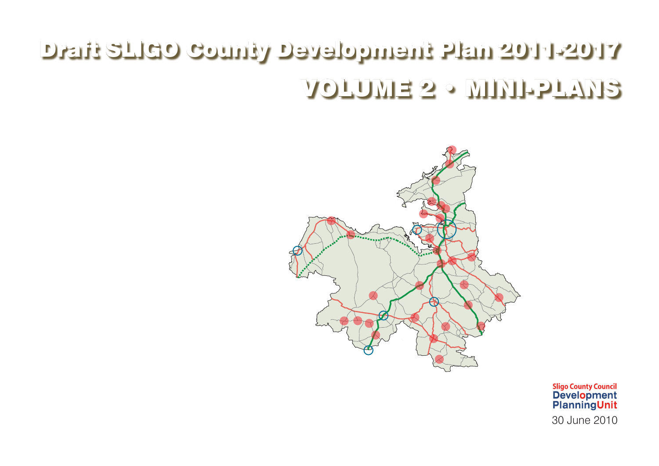## Draft SLIGO County Development Plan 2011-2017 VOLUME 2 • MINI-PLANS







Sligo County Council<br>Development<br>PlanningUnit 30 June 2010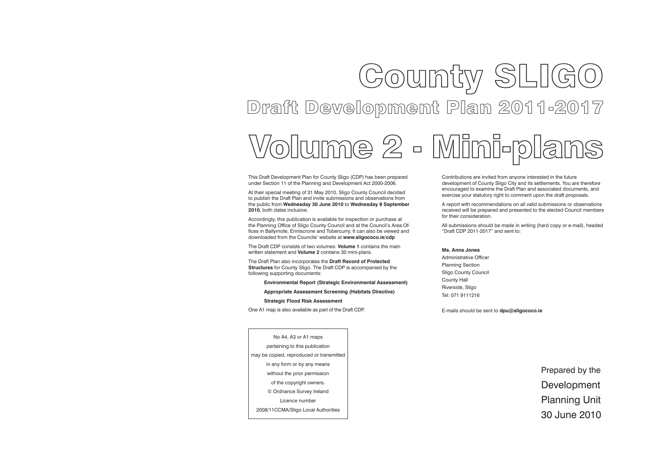# Gounty SLIGO Draft Development Plan 2011-2017

This Draft Development Plan for County Sligo (CDP) has been prepared under Section 11 of the Planning and Development Act 2000-2006.

At their special meeting of 31 May 2010, Sligo County Council decided to publish the Draft Plan and invite submissions and observations from the public from **Wednesday 30 June 2010** to **Wednesday 8 September 2010**, both dates inclusive.

Accordingly, this publication is available for inspection or purchase at the Planning Office of Sligo County Council and at the Council's Area Offices in Ballymote, Enniscrone and Tobercurry. It can also be viewed and downloaded from the Councils' website at **www.sligococo.ie/cdp**

The Draft CDP consists of two volumes: **Volume 1** contains the main written statement and **Volume 2** contains 30 mini-plans.

The Draft Plan also incorporates the **Draft Record of Protected Structures** for County Sligo. The Draft CDP is accompanied by the following supporting documents:

**Environmental Report (Strategic Environmental Assessment)**

**Appropriate Assessment Screening (Habitats Directive)**

**Strategic Flood Risk Assessment**

One A1 map is also available as part of the Draft CDP.

Contributions are invited from anyone interested in the future development of County Sligo City and its settlements. You are therefore encouraged to examine the Draft Plan and associated documents, and exercise your statutory right to comment upon the draft proposals.

A report with recommendations on all valid submissions or observations received will be prepared and presented to the elected Council members

for their consideration.

All submissions should be made in writing (hard copy or e-mail), headed "Draft CDP 2011-2017" and sent to:

### **Ms. Anna Jones**

Administrative Officer Planning Section Sligo County Council County Hall Riverside, Sligo Tel: 071 9111216

E-mails should be sent to **dpu@sligococo.ie**

No A4, A3 or A1 maps pertaining to this publication may be copied, reproduced or transmitted in any form or by any means without the prior permission of the copyright owners. © Ordnance Survey Ireland Licence number 2008/11CCMA/Sligo Local Authorities

Prepared by the Development Planning Unit 30 June 2010

Volume 2 - Mini-plans